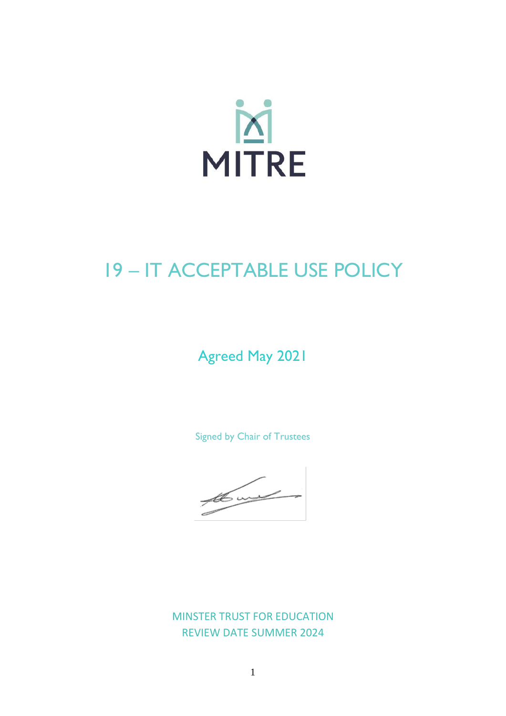

# **19-IT ACCEPTABLE USE POLICY**

# **Agreed May 2021**

Signed by Chair of Trustees

the world

**MINSTER TRUST FOR EDUCATION REVIEW DATE SUMMER 2024**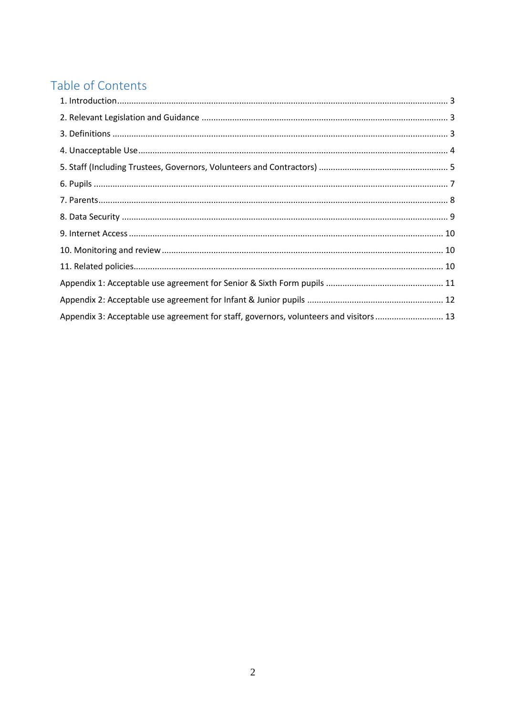# Table of Contents

| Appendix 3: Acceptable use agreement for staff, governors, volunteers and visitors  13 |  |
|----------------------------------------------------------------------------------------|--|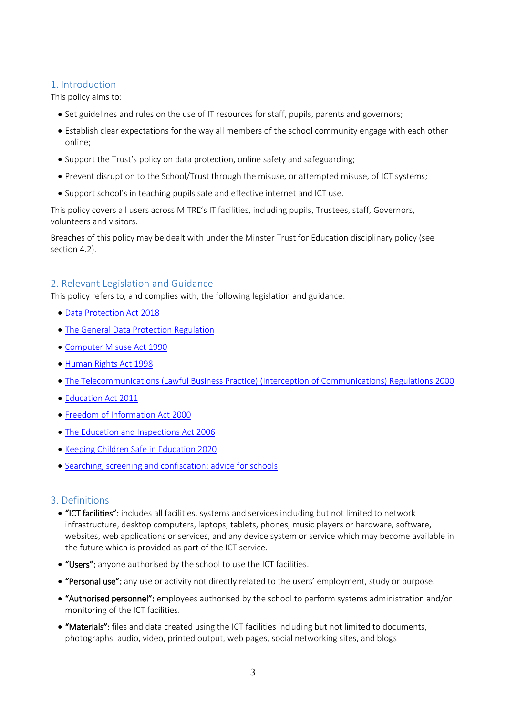# <span id="page-2-0"></span>1. Introduction

This policy aims to:

- Set guidelines and rules on the use of IT resources for staff, pupils, parents and governors;
- Establish clear expectations for the way all members of the school community engage with each other online;
- Support the Trust's policy on data protection, online safety and safeguarding;
- Prevent disruption to the School/Trust through the misuse, or attempted misuse, of ICT systems;
- Support school's in teaching pupils safe and effective internet and ICT use.

This policy covers all users across MITRE's IT facilities, including pupils, Trustees, staff, Governors, volunteers and visitors.

Breaches of this policy may be dealt with under the Minster Trust for Education disciplinary policy (see section 4.2).

# <span id="page-2-1"></span>2. Relevant Legislation and Guidance

This policy refers to, and complies with, the following legislation and guidance:

- [Data Protection Act 2018](http://www.legislation.gov.uk/ukpga/2018/12/contents/enacted)
- [The General Data Protection Regulation](https://eur-lex.europa.eu/legal-content/EN/TXT/HTML/?uri=CELEX:32016R0679)
- [Computer Misuse Act 1990](https://www.legislation.gov.uk/ukpga/1990/18/contents)
- [Human Rights Act 1998](https://www.legislation.gov.uk/ukpga/1998/42/contents)
- [The Telecommunications \(Lawful Business Practice\) \(Interception of Communications\) Regulations 2000](https://www.legislation.gov.uk/uksi/2000/2699/regulation/3/made)
- [Education Act 2011](http://www.legislation.gov.uk/ukpga/2011/21/section/2/enacted)
- [Freedom of Information Act 2000](https://www.legislation.gov.uk/ukpga/2000/36/contents)
- [The Education and Inspections Act 2006](https://www.legislation.gov.uk/ukpga/2006/40/part/7/chapter/1)
- [Keeping Children Safe in Education 2020](https://www.gov.uk/government/publications/keeping-children-safe-in-education--2)
- [Searching, screening and confiscation: advice for schools](https://www.gov.uk/government/publications/searching-screening-and-confiscation)

# <span id="page-2-2"></span>3. Definitions

- "ICT facilities": includes all facilities, systems and services including but not limited to network infrastructure, desktop computers, laptops, tablets, phones, music players or hardware, software, websites, web applications or services, and any device system or service which may become available in the future which is provided as part of the ICT service.
- "Users": anyone authorised by the school to use the ICT facilities.
- "Personal use": any use or activity not directly related to the users' employment, study or purpose.
- "Authorised personnel": employees authorised by the school to perform systems administration and/or monitoring of the ICT facilities.
- "Materials": files and data created using the ICT facilities including but not limited to documents, photographs, audio, video, printed output, web pages, social networking sites, and blogs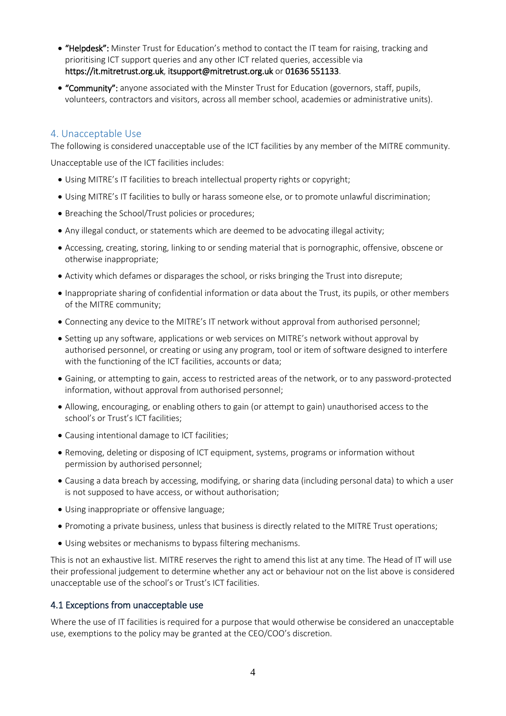- "Helpdesk": Minster Trust for Education's method to contact the IT team for raising, tracking and prioritising ICT support queries and any other ICT related queries, accessible via https://it.mitretrust.org.uk, itsupport@mitretrust.org.uk or 01636 551133.
- "Community": anyone associated with the Minster Trust for Education (governors, staff, pupils, volunteers, contractors and visitors, across all member school, academies or administrative units).

# <span id="page-3-0"></span>4. Unacceptable Use

The following is considered unacceptable use of the ICT facilities by any member of the MITRE community.

Unacceptable use of the ICT facilities includes:

- Using MITRE's IT facilities to breach intellectual property rights or copyright;
- Using MITRE's IT facilities to bully or harass someone else, or to promote unlawful discrimination;
- Breaching the School/Trust policies or procedures;
- Any illegal conduct, or statements which are deemed to be advocating illegal activity;
- Accessing, creating, storing, linking to or sending material that is pornographic, offensive, obscene or otherwise inappropriate;
- Activity which defames or disparages the school, or risks bringing the Trust into disrepute;
- Inappropriate sharing of confidential information or data about the Trust, its pupils, or other members of the MITRE community;
- Connecting any device to the MITRE's IT network without approval from authorised personnel;
- Setting up any software, applications or web services on MITRE's network without approval by authorised personnel, or creating or using any program, tool or item of software designed to interfere with the functioning of the ICT facilities, accounts or data;
- Gaining, or attempting to gain, access to restricted areas of the network, or to any password-protected information, without approval from authorised personnel;
- Allowing, encouraging, or enabling others to gain (or attempt to gain) unauthorised access to the school's or Trust's ICT facilities;
- Causing intentional damage to ICT facilities;
- Removing, deleting or disposing of ICT equipment, systems, programs or information without permission by authorised personnel;
- Causing a data breach by accessing, modifying, or sharing data (including personal data) to which a user is not supposed to have access, or without authorisation;
- Using inappropriate or offensive language;
- Promoting a private business, unless that business is directly related to the MITRE Trust operations;
- Using websites or mechanisms to bypass filtering mechanisms.

This is not an exhaustive list. MITRE reserves the right to amend this list at any time. The Head of IT will use their professional judgement to determine whether any act or behaviour not on the list above is considered unacceptable use of the school's or Trust's ICT facilities.

#### 4.1 Exceptions from unacceptable use

Where the use of IT facilities is required for a purpose that would otherwise be considered an unacceptable use, exemptions to the policy may be granted at the CEO/COO's discretion.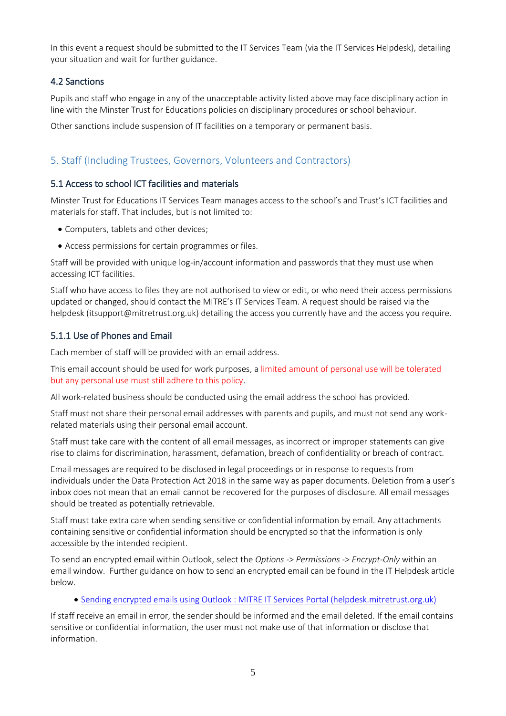In this event a request should be submitted to the IT Services Team (via the IT Services Helpdesk), detailing your situation and wait for further guidance.

#### 4.2 Sanctions

Pupils and staff who engage in any of the unacceptable activity listed above may face disciplinary action in line with the Minster Trust for Educations policies on disciplinary procedures or school behaviour.

Other sanctions include suspension of IT facilities on a temporary or permanent basis.

# <span id="page-4-0"></span>5. Staff (Including Trustees, Governors, Volunteers and Contractors)

#### 5.1 Access to school ICT facilities and materials

Minster Trust for Educations IT Services Team manages access to the school's and Trust's ICT facilities and materials for staff. That includes, but is not limited to:

- Computers, tablets and other devices;
- Access permissions for certain programmes or files.

Staff will be provided with unique log-in/account information and passwords that they must use when accessing ICT facilities.

Staff who have access to files they are not authorised to view or edit, or who need their access permissions updated or changed, should contact the MITRE's IT Services Team. A request should be raised via the helpdesk (itsupport@mitretrust.org.uk) detailing the access you currently have and the access you require.

# 5.1.1 Use of Phones and Email

Each member of staff will be provided with an email address.

This email account should be used for work purposes, a limited amount of personal use will be tolerated but any personal use must still adhere to this policy.

All work-related business should be conducted using the email address the school has provided.

Staff must not share their personal email addresses with parents and pupils, and must not send any workrelated materials using their personal email account.

Staff must take care with the content of all email messages, as incorrect or improper statements can give rise to claims for discrimination, harassment, defamation, breach of confidentiality or breach of contract.

Email messages are required to be disclosed in legal proceedings or in response to requests from individuals under the Data Protection Act 2018 in the same way as paper documents. Deletion from a user's inbox does not mean that an email cannot be recovered for the purposes of disclosure. All email messages should be treated as potentially retrievable.

Staff must take extra care when sending sensitive or confidential information by email. Any attachments containing sensitive or confidential information should be encrypted so that the information is only accessible by the intended recipient.

To send an encrypted email within Outlook, select the *Options* -> *Permissions* -> *Encrypt-Only* within an email window. Further guidance on how to send an encrypted email can be found in the IT Helpdesk article below.

• [Sending encrypted emails using Outlook : MITRE IT Services Portal \(helpdesk.mitretrust.org.uk\)](http://helpdesk.mitretrust.org.uk/support/solutions/articles/44001879240-sending-encrypted-emails-using-outlook)

If staff receive an email in error, the sender should be informed and the email deleted. If the email contains sensitive or confidential information, the user must not make use of that information or disclose that information.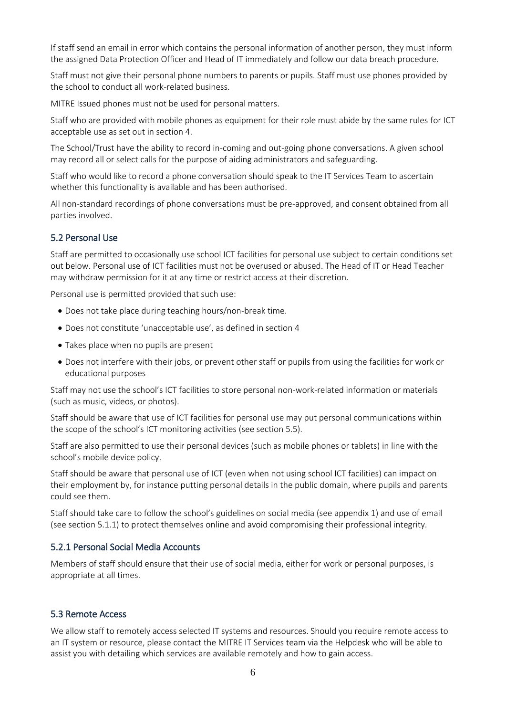If staff send an email in error which contains the personal information of another person, they must inform the assigned Data Protection Officer and Head of IT immediately and follow our data breach procedure.

Staff must not give their personal phone numbers to parents or pupils. Staff must use phones provided by the school to conduct all work-related business.

MITRE Issued phones must not be used for personal matters.

Staff who are provided with mobile phones as equipment for their role must abide by the same rules for ICT acceptable use as set out in section 4.

The School/Trust have the ability to record in-coming and out-going phone conversations. A given school may record all or select calls for the purpose of aiding administrators and safeguarding.

Staff who would like to record a phone conversation should speak to the IT Services Team to ascertain whether this functionality is available and has been authorised.

All non-standard recordings of phone conversations must be pre-approved, and consent obtained from all parties involved.

#### 5.2 Personal Use

Staff are permitted to occasionally use school ICT facilities for personal use subject to certain conditions set out below. Personal use of ICT facilities must not be overused or abused. The Head of IT or Head Teacher may withdraw permission for it at any time or restrict access at their discretion.

Personal use is permitted provided that such use:

- Does not take place during teaching hours/non-break time.
- Does not constitute 'unacceptable use', as defined in section 4
- Takes place when no pupils are present
- Does not interfere with their jobs, or prevent other staff or pupils from using the facilities for work or educational purposes

Staff may not use the school's ICT facilities to store personal non-work-related information or materials (such as music, videos, or photos).

Staff should be aware that use of ICT facilities for personal use may put personal communications within the scope of the school's ICT monitoring activities (see section 5.5).

Staff are also permitted to use their personal devices (such as mobile phones or tablets) in line with the school's mobile device policy.

Staff should be aware that personal use of ICT (even when not using school ICT facilities) can impact on their employment by, for instance putting personal details in the public domain, where pupils and parents could see them.

Staff should take care to follow the school's guidelines on social media (see appendix 1) and use of email (see section 5.1.1) to protect themselves online and avoid compromising their professional integrity.

#### 5.2.1 Personal Social Media Accounts

Members of staff should ensure that their use of social media, either for work or personal purposes, is appropriate at all times.

#### 5.3 Remote Access

We allow staff to remotely access selected IT systems and resources. Should you require remote access to an IT system or resource, please contact the MITRE IT Services team via the Helpdesk who will be able to assist you with detailing which services are available remotely and how to gain access.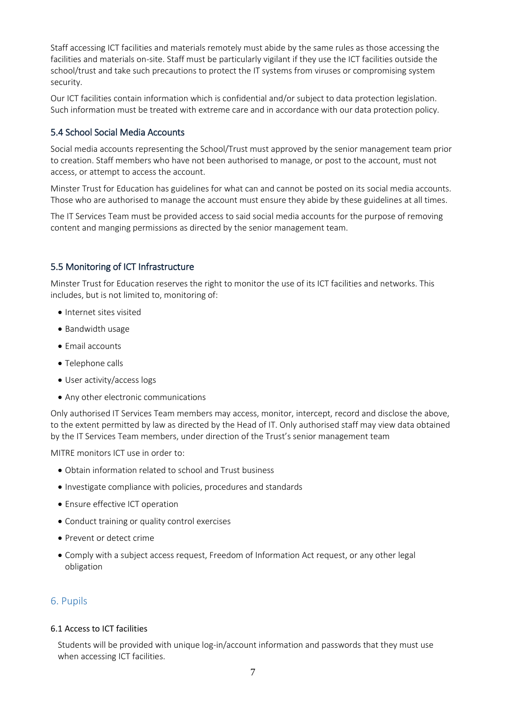Staff accessing ICT facilities and materials remotely must abide by the same rules as those accessing the facilities and materials on-site. Staff must be particularly vigilant if they use the ICT facilities outside the school/trust and take such precautions to protect the IT systems from viruses or compromising system security.

Our ICT facilities contain information which is confidential and/or subject to data protection legislation. Such information must be treated with extreme care and in accordance with our data protection policy.

#### 5.4 School Social Media Accounts

Social media accounts representing the School/Trust must approved by the senior management team prior to creation. Staff members who have not been authorised to manage, or post to the account, must not access, or attempt to access the account.

Minster Trust for Education has guidelines for what can and cannot be posted on its social media accounts. Those who are authorised to manage the account must ensure they abide by these guidelines at all times.

The IT Services Team must be provided access to said social media accounts for the purpose of removing content and manging permissions as directed by the senior management team.

#### 5.5 Monitoring of ICT Infrastructure

Minster Trust for Education reserves the right to monitor the use of its ICT facilities and networks. This includes, but is not limited to, monitoring of:

- Internet sites visited
- Bandwidth usage
- Email accounts
- Telephone calls
- User activity/access logs
- Any other electronic communications

Only authorised IT Services Team members may access, monitor, intercept, record and disclose the above, to the extent permitted by law as directed by the Head of IT. Only authorised staff may view data obtained by the IT Services Team members, under direction of the Trust's senior management team

MITRE monitors ICT use in order to:

- Obtain information related to school and Trust business
- Investigate compliance with policies, procedures and standards
- Ensure effective ICT operation
- Conduct training or quality control exercises
- Prevent or detect crime
- Comply with a subject access request, Freedom of Information Act request, or any other legal obligation

#### <span id="page-6-0"></span>6. Pupils

#### 6.1 Access to ICT facilities

Students will be provided with unique log-in/account information and passwords that they must use when accessing ICT facilities.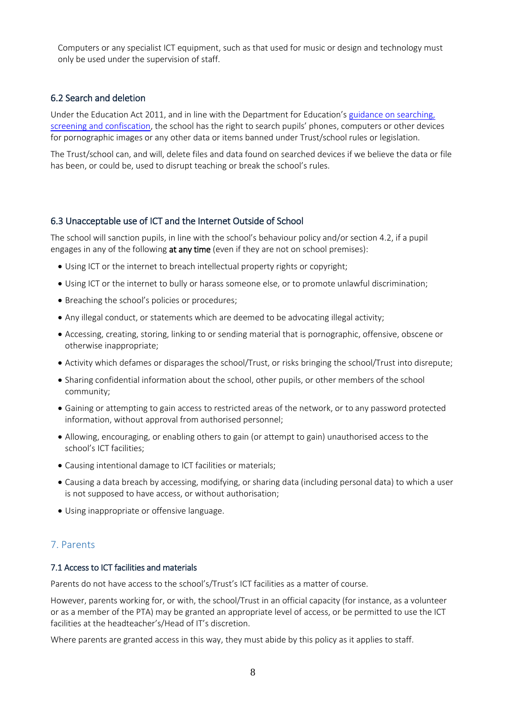Computers or any specialist ICT equipment, such as that used for music or design and technology must only be used under the supervision of staff.

#### 6.2 Search and deletion

Under the Education Act 2011, and in line with the Department for Education's [guidance on searching,](https://www.gov.uk/government/publications/searching-screening-and-confiscation)  [screening and confiscation](https://www.gov.uk/government/publications/searching-screening-and-confiscation), the school has the right to search pupils' phones, computers or other devices for pornographic images or any other data or items banned under Trust/school rules or legislation.

The Trust/school can, and will, delete files and data found on searched devices if we believe the data or file has been, or could be, used to disrupt teaching or break the school's rules.

#### 6.3 Unacceptable use of ICT and the Internet Outside of School

The school will sanction pupils, in line with the school's behaviour policy and/or section 4.2, if a pupil engages in any of the following at any time (even if they are not on school premises):

- Using ICT or the internet to breach intellectual property rights or copyright:
- Using ICT or the internet to bully or harass someone else, or to promote unlawful discrimination;
- Breaching the school's policies or procedures;
- Any illegal conduct, or statements which are deemed to be advocating illegal activity;
- Accessing, creating, storing, linking to or sending material that is pornographic, offensive, obscene or otherwise inappropriate;
- Activity which defames or disparages the school/Trust, or risks bringing the school/Trust into disrepute;
- Sharing confidential information about the school, other pupils, or other members of the school community;
- Gaining or attempting to gain access to restricted areas of the network, or to any password protected information, without approval from authorised personnel;
- Allowing, encouraging, or enabling others to gain (or attempt to gain) unauthorised access to the school's ICT facilities;
- Causing intentional damage to ICT facilities or materials;
- Causing a data breach by accessing, modifying, or sharing data (including personal data) to which a user is not supposed to have access, or without authorisation;
- Using inappropriate or offensive language.

# <span id="page-7-0"></span>7. Parents

#### 7.1 Access to ICT facilities and materials

Parents do not have access to the school's/Trust's ICT facilities as a matter of course.

However, parents working for, or with, the school/Trust in an official capacity (for instance, as a volunteer or as a member of the PTA) may be granted an appropriate level of access, or be permitted to use the ICT facilities at the headteacher's/Head of IT's discretion.

Where parents are granted access in this way, they must abide by this policy as it applies to staff.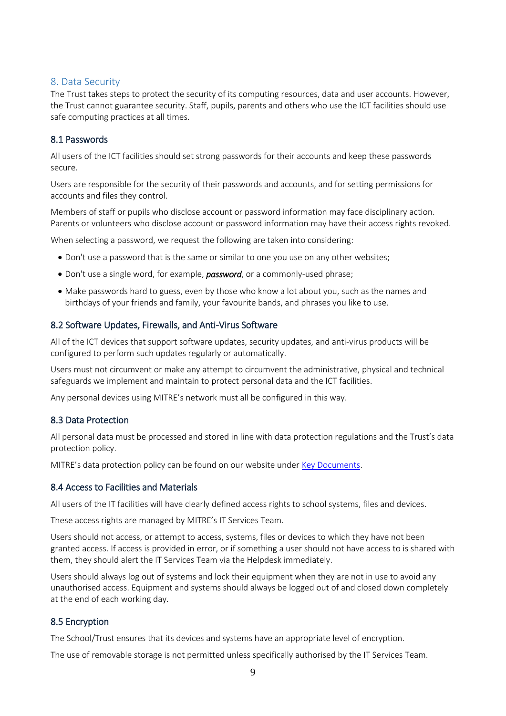#### <span id="page-8-0"></span>8. Data Security

The Trust takes steps to protect the security of its computing resources, data and user accounts. However, the Trust cannot guarantee security. Staff, pupils, parents and others who use the ICT facilities should use safe computing practices at all times.

#### 8.1 Passwords

All users of the ICT facilities should set strong passwords for their accounts and keep these passwords secure.

Users are responsible for the security of their passwords and accounts, and for setting permissions for accounts and files they control.

Members of staff or pupils who disclose account or password information may face disciplinary action. Parents or volunteers who disclose account or password information may have their access rights revoked.

When selecting a password, we request the following are taken into considering:

- Don't use a password that is the same or similar to one you use on any other websites;
- Don't use a single word, for example, *password*, or a commonly-used phrase;
- Make passwords hard to guess, even by those who know a lot about you, such as the names and birthdays of your friends and family, your favourite bands, and phrases you like to use.

#### 8.2 Software Updates, Firewalls, and Anti-Virus Software

All of the ICT devices that support software updates, security updates, and anti-virus products will be configured to perform such updates regularly or automatically.

Users must not circumvent or make any attempt to circumvent the administrative, physical and technical safeguards we implement and maintain to protect personal data and the ICT facilities.

Any personal devices using MITRE's network must all be configured in this way.

#### 8.3 Data Protection

All personal data must be processed and stored in line with data protection regulations and the Trust's data protection policy.

MITRE's data protection policy can be found on our website under [Key Documents.](https://www.mitretrust.org.uk/keydocuments)

#### 8.4 Access to Facilities and Materials

All users of the IT facilities will have clearly defined access rights to school systems, files and devices.

These access rights are managed by MITRE's IT Services Team.

Users should not access, or attempt to access, systems, files or devices to which they have not been granted access. If access is provided in error, or if something a user should not have access to is shared with them, they should alert the IT Services Team via the Helpdesk immediately.

Users should always log out of systems and lock their equipment when they are not in use to avoid any unauthorised access. Equipment and systems should always be logged out of and closed down completely at the end of each working day.

#### 8.5 Encryption

The School/Trust ensures that its devices and systems have an appropriate level of encryption.

The use of removable storage is not permitted unless specifically authorised by the IT Services Team.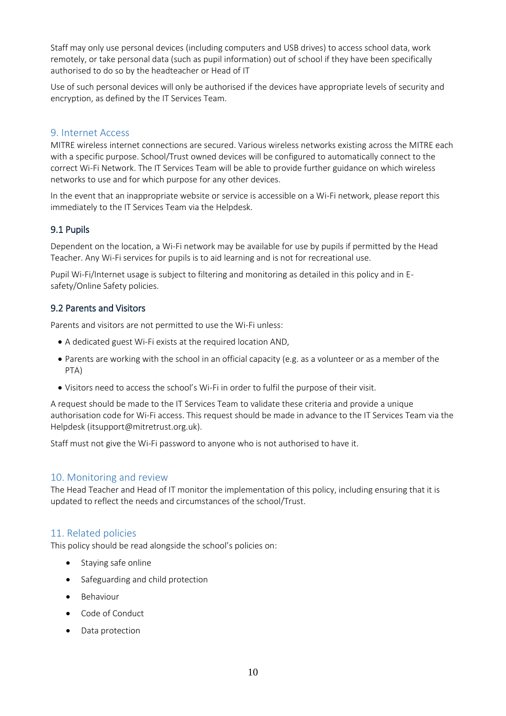Staff may only use personal devices (including computers and USB drives) to access school data, work remotely, or take personal data (such as pupil information) out of school if they have been specifically authorised to do so by the headteacher or Head of IT

Use of such personal devices will only be authorised if the devices have appropriate levels of security and encryption, as defined by the IT Services Team.

#### <span id="page-9-0"></span>9. Internet Access

MITRE wireless internet connections are secured. Various wireless networks existing across the MITRE each with a specific purpose. School/Trust owned devices will be configured to automatically connect to the correct Wi-Fi Network. The IT Services Team will be able to provide further guidance on which wireless networks to use and for which purpose for any other devices.

In the event that an inappropriate website or service is accessible on a Wi-Fi network, please report this immediately to the IT Services Team via the Helpdesk.

#### 9.1 Pupils

Dependent on the location, a Wi-Fi network may be available for use by pupils if permitted by the Head Teacher. Any Wi-Fi services for pupils is to aid learning and is not for recreational use.

Pupil Wi-Fi/Internet usage is subject to filtering and monitoring as detailed in this policy and in Esafety/Online Safety policies.

#### 9.2 Parents and Visitors

Parents and visitors are not permitted to use the Wi-Fi unless:

- A dedicated guest Wi-Fi exists at the required location AND,
- Parents are working with the school in an official capacity (e.g. as a volunteer or as a member of the PTA)
- Visitors need to access the school's Wi-Fi in order to fulfil the purpose of their visit.

A request should be made to the IT Services Team to validate these criteria and provide a unique authorisation code for Wi-Fi access. This request should be made in advance to the IT Services Team via the Helpdesk (itsupport@mitretrust.org.uk).

Staff must not give the Wi-Fi password to anyone who is not authorised to have it.

#### <span id="page-9-1"></span>10. Monitoring and review

The Head Teacher and Head of IT monitor the implementation of this policy, including ensuring that it is updated to reflect the needs and circumstances of the school/Trust.

#### <span id="page-9-2"></span>11. Related policies

This policy should be read alongside the school's policies on:

- Staying safe online
- Safeguarding and child protection
- Behaviour
- Code of Conduct
- Data protection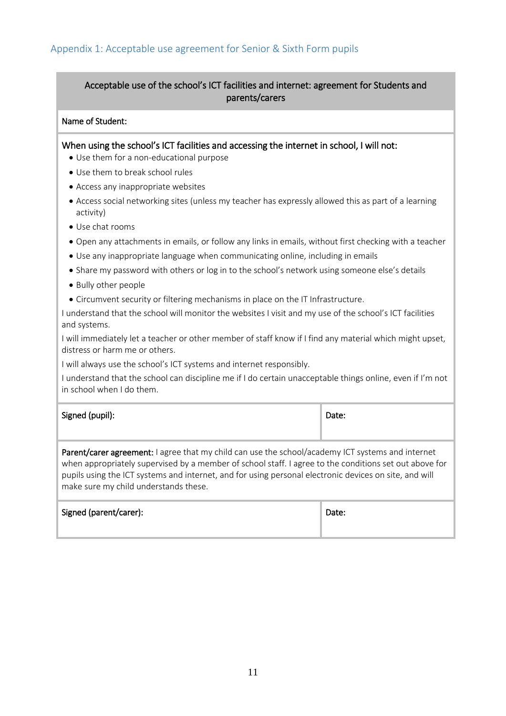# <span id="page-10-0"></span>Acceptable use of the school's ICT facilities and internet: agreement for Students and parents/carers

#### Name of Student:

When using the school's ICT facilities and accessing the internet in school, I will not:

- Use them for a non-educational purpose
- Use them to break school rules
- Access any inappropriate websites
- Access social networking sites (unless my teacher has expressly allowed this as part of a learning activity)
- Use chat rooms
- Open any attachments in emails, or follow any links in emails, without first checking with a teacher
- Use any inappropriate language when communicating online, including in emails
- Share my password with others or log in to the school's network using someone else's details
- Bully other people
- Circumvent security or filtering mechanisms in place on the IT Infrastructure.

I understand that the school will monitor the websites I visit and my use of the school's ICT facilities and systems.

I will immediately let a teacher or other member of staff know if I find any material which might upset, distress or harm me or others.

I will always use the school's ICT systems and internet responsibly.

I understand that the school can discipline me if I do certain unacceptable things online, even if I'm not in school when I do them.

#### Signed (pupil):  $\Box$

Parent/carer agreement: I agree that my child can use the school/academy ICT systems and internet when appropriately supervised by a member of school staff. I agree to the conditions set out above for pupils using the ICT systems and internet, and for using personal electronic devices on site, and will make sure my child understands these.

|  | Signed (parent/carer): | Date: |
|--|------------------------|-------|
|--|------------------------|-------|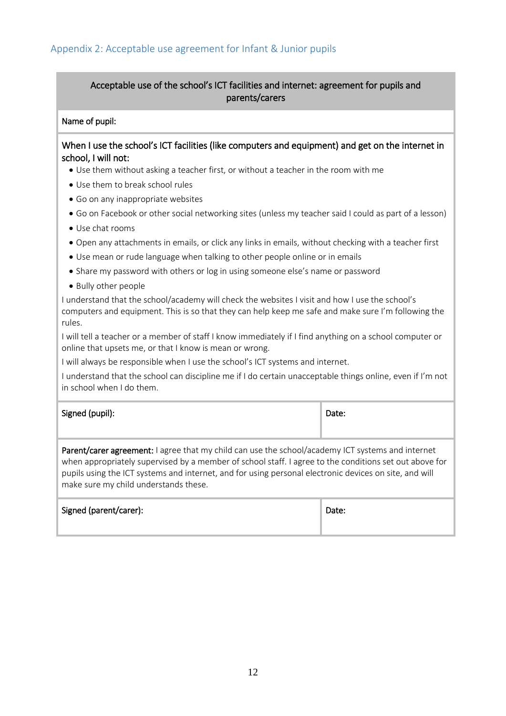# <span id="page-11-0"></span>Acceptable use of the school's ICT facilities and internet: agreement for pupils and parents/carers

#### Name of pupil:

#### When I use the school's ICT facilities (like computers and equipment) and get on the internet in school, I will not:

- Use them without asking a teacher first, or without a teacher in the room with me
- Use them to break school rules
- Go on any inappropriate websites
- Go on Facebook or other social networking sites (unless my teacher said I could as part of a lesson)
- Use chat rooms
- Open any attachments in emails, or click any links in emails, without checking with a teacher first
- Use mean or rude language when talking to other people online or in emails
- Share my password with others or log in using someone else's name or password
- Bully other people

I understand that the school/academy will check the websites I visit and how I use the school's computers and equipment. This is so that they can help keep me safe and make sure I'm following the rules.

I will tell a teacher or a member of staff I know immediately if I find anything on a school computer or online that upsets me, or that I know is mean or wrong.

I will always be responsible when I use the school's ICT systems and internet.

I understand that the school can discipline me if I do certain unacceptable things online, even if I'm not in school when I do them.

| Signed (pupil): | Date: |
|-----------------|-------|
|                 |       |

Parent/carer agreement: I agree that my child can use the school/academy ICT systems and internet when appropriately supervised by a member of school staff. I agree to the conditions set out above for pupils using the ICT systems and internet, and for using personal electronic devices on site, and will make sure my child understands these.

| Signed (parent/carer): | Date: |
|------------------------|-------|
|                        |       |